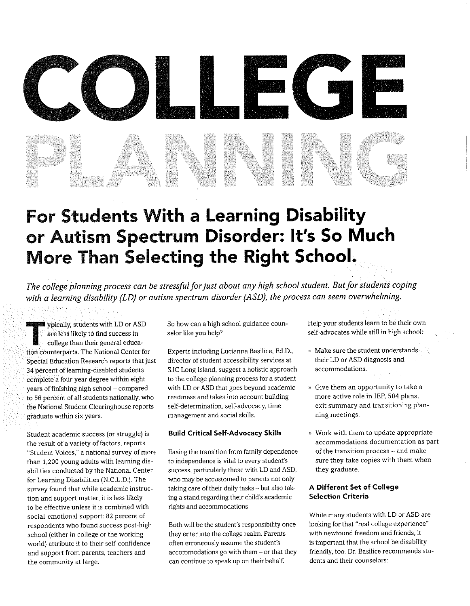# COLLECT

# For Students With a Learning Disability or Autism Spectrum Disorder: It's So Much More Than Selecting the Right School.

The college planning process can be stressful for just about any high school student. But for students coping with a learning disability (LD) or autism spectrum disorder (ASD), the process can seem overwhelming.

**W** ypically, students with LD or ASD are less likely to find success in college than their general education counterparts. The National Center for Special Education Research reports that just 34 percent of learning-disabled students complete afour-year degree within eight years of finishing high school —compared to 58 percent of all students nationally, who the National Student Clearinghouse reports graduate within six years.

Student academic success (or struggle) is the result of a variety of factors, reports "Student Voices," a national survey of more than 1,200 young adults with learning disabilities conducted by the National Center for Learning Disabilities (N.C.L.D.). The survey found that while academic instruction and support matter, it is less likely to be effective unless it is combined with social-emotional support: 82 percent of respondents who found success post-high school (either in college or the working world) attribute it to their self-confidence and support from parents, teachers and the community at large.

So how can a high school guidance counselor like you help?

Experts including Lucianna Basilice, Ed.D., director of student accessibility services at SJC Long Island, suggest a holistic approach to the college planing process for a student with LD or ASD that goes beyond academic readiness and takes into account building self-determination, self-advocacy, time management and social skills.

## Build Critical Self-Advocacy Skills

Easing the transition From family dependence to independence is vital to every student's success, particularly those with LD and ASD, who may be accustomed to parents not only taking care of their daily tasks —but also taking astand regarding their child's academic rights and accommodations.

Both will be the student's responsibility once they enter into the college realm. Parents often erroneously assume the student's accommodations go with them — or that they can continue to speak up on their behalf.

Help your students learn to be their own self-advocates while still in high school:

- Make sure the student understands their LD or ASD diagnosis and accommodations.
- » Give them an opportunity to take a more active role in IEP, 504 plans, exit summary and transitioning planning meetings.
- » Work with them to update appropriate accommodations documentation as part of the transition process —and make sure they take copies with them when they graduate.

## A Different Set of College Selection Criteria

While many students with LD or ASD are looking for that "real college experience" with newfound freedom and friends, it is important that the school be disability friendly, too. Dr. Basilice recommends students and their counselors: